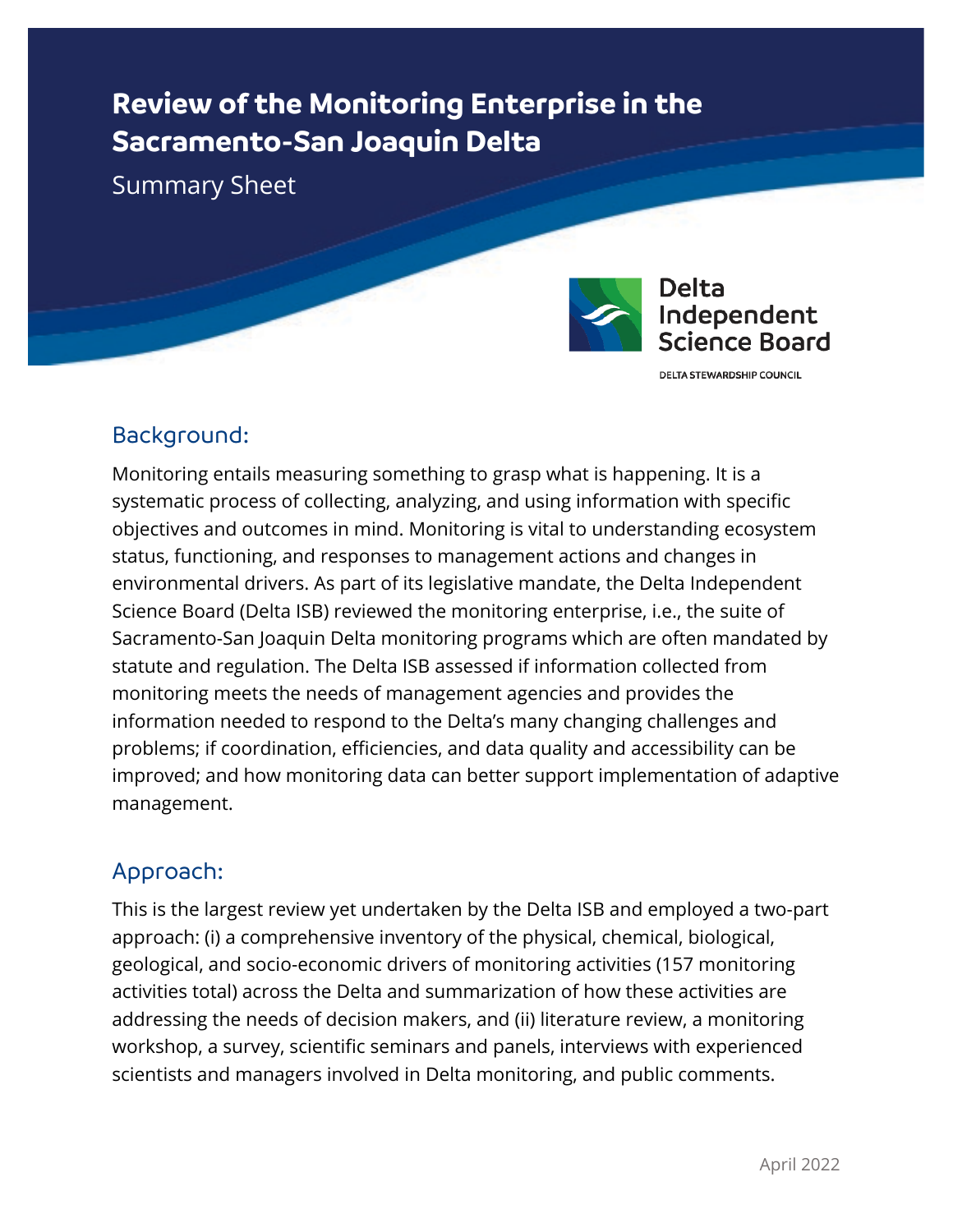# **Review of the Monitoring Enterprise in the Sacramento-San Joaquin Delta**

Summary Sheet



#### **Delta** Independent Science Board

DELTA STEWARDSHIP COUNCIL

#### Background:

Monitoring entails measuring something to grasp what is happening. It is a systematic process of collecting, analyzing, and using information with specific objectives and outcomes in mind. Monitoring is vital to understanding ecosystem status, functioning, and responses to management actions and changes in environmental drivers. As part of its legislative mandate, the Delta Independent Science Board (Delta ISB) reviewed the monitoring enterprise, i.e., the suite of Sacramento-San Joaquin Delta monitoring programs which are often mandated by statute and regulation. The Delta ISB assessed if information collected from monitoring meets the needs of management agencies and provides the information needed to respond to the Delta's many changing challenges and problems; if coordination, efficiencies, and data quality and accessibility can be improved; and how monitoring data can better support implementation of adaptive management.

### Approach:

This is the largest review yet undertaken by the Delta ISB and employed a two-part approach: (i) a comprehensive inventory of the physical, chemical, biological, geological, and socio-economic drivers of monitoring activities (157 monitoring activities total) across the Delta and summarization of how these activities are addressing the needs of decision makers, and (ii) literature review, a monitoring workshop, a survey, scientific seminars and panels, interviews with experienced scientists and managers involved in Delta monitoring, and public comments.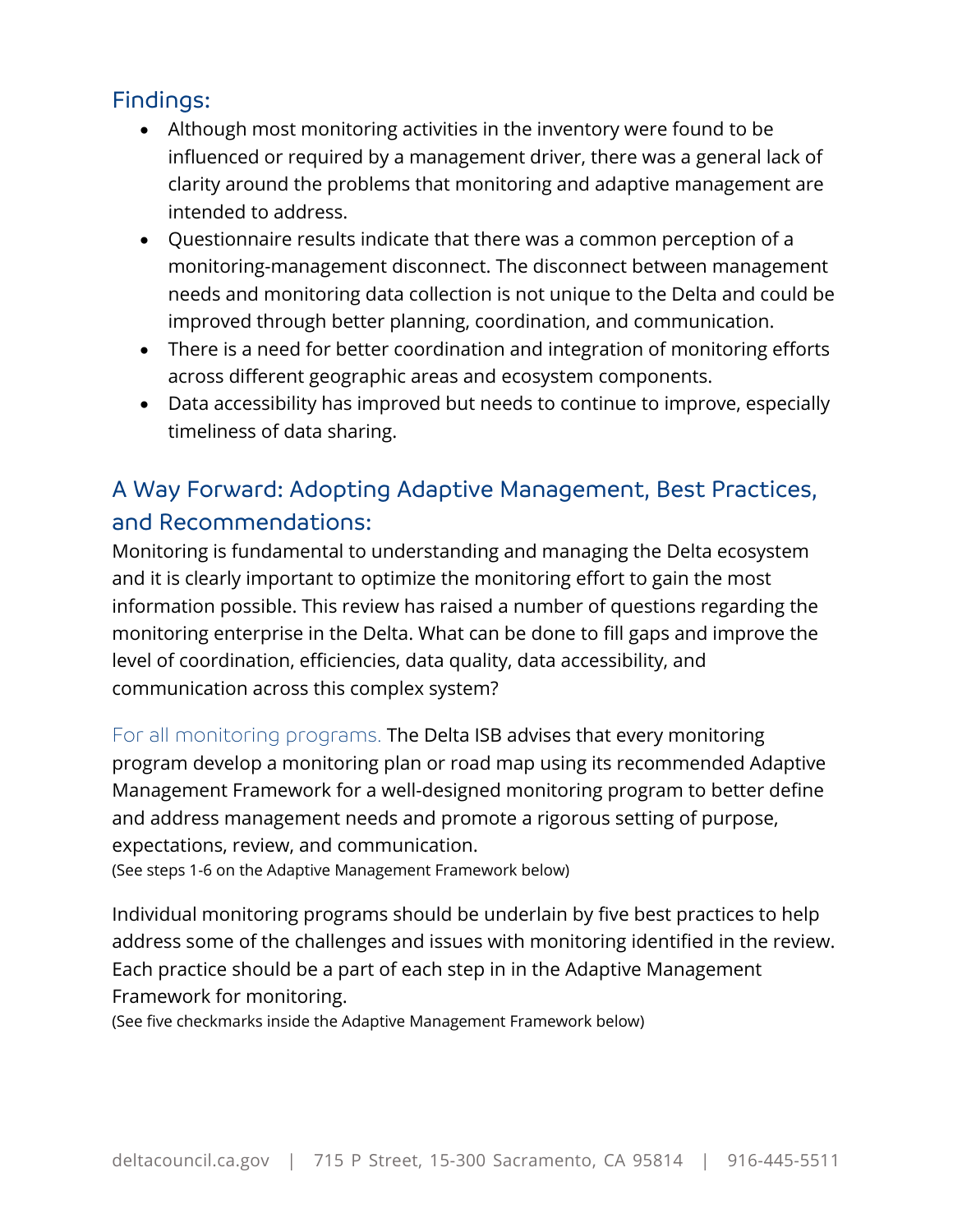#### Findings:

- Although most monitoring activities in the inventory were found to be influenced or required by a management driver, there was a general lack of clarity around the problems that monitoring and adaptive management are intended to address.
- Questionnaire results indicate that there was a common perception of a monitoring-management disconnect. The disconnect between management needs and monitoring data collection is not unique to the Delta and could be improved through better planning, coordination, and communication.
- There is a need for better coordination and integration of monitoring efforts across different geographic areas and ecosystem components.
- Data accessibility has improved but needs to continue to improve, especially timeliness of data sharing.

## A Way Forward: Adopting Adaptive Management, Best Practices, and Recommendations:

Monitoring is fundamental to understanding and managing the Delta ecosystem and it is clearly important to optimize the monitoring effort to gain the most information possible. This review has raised a number of questions regarding the monitoring enterprise in the Delta. What can be done to fill gaps and improve the level of coordination, efficiencies, data quality, data accessibility, and communication across this complex system?

For all monitoring programs. The Delta ISB advises that every monitoring program develop a monitoring plan or road map using its recommended Adaptive Management Framework for a well-designed monitoring program to better define and address management needs and promote a rigorous setting of purpose, expectations, review, and communication.

(See steps 1-6 on the Adaptive Management Framework below)

Individual monitoring programs should be underlain by five best practices to help address some of the challenges and issues with monitoring identified in the review. Each practice should be a part of each step in in the Adaptive Management Framework for monitoring.

(See five checkmarks inside the Adaptive Management Framework below)